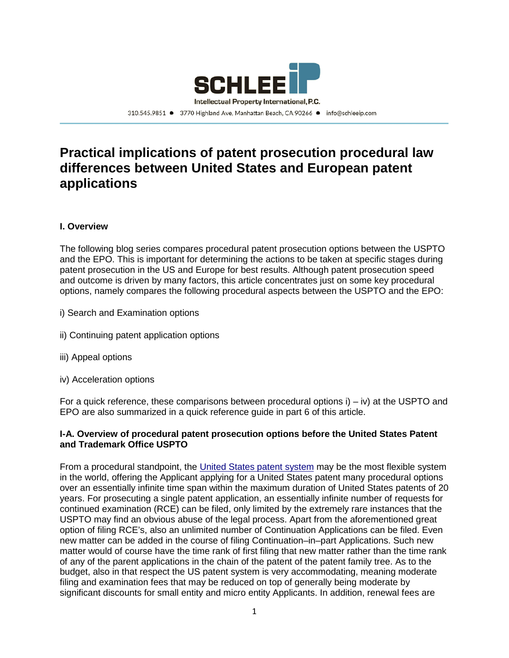

310.545.9851 ● 3770 Highland Ave, Manhattan Beach, CA 90266 ● info@schleeip.com

# **Practical implications of patent prosecution procedural law differences between United States and European patent applications**

## **I. Overview**

The following blog series compares procedural patent prosecution options between the USPTO and the EPO. This is important for determining the actions to be taken at specific stages during patent prosecution in the US and Europe for best results. Although patent prosecution speed and outcome is driven by many factors, this article concentrates just on some key procedural options, namely compares the following procedural aspects between the USPTO and the EPO:

- i) Search and Examination options
- ii) Continuing patent application options
- iii) Appeal options
- iv) Acceleration options

For a quick reference, these comparisons between procedural options  $i$ ) –  $iv$ ) at the USPTO and EPO are also summarized in a quick reference guide in part 6 of this article.

#### **I-A. Overview of procedural patent prosecution options before the United States Patent and Trademark Office USPTO**

From a procedural standpoint, the [United States patent system](https://www.uspto.gov/web/offices/pac/mpep/index.html) may be the most flexible system in the world, offering the Applicant applying for a United States patent many procedural options over an essentially infinite time span within the maximum duration of United States patents of 20 years. For prosecuting a single patent application, an essentially infinite number of requests for continued examination (RCE) can be filed, only limited by the extremely rare instances that the USPTO may find an obvious abuse of the legal process. Apart from the aforementioned great option of filing RCE's, also an unlimited number of Continuation Applications can be filed. Even new matter can be added in the course of filing Continuation–in–part Applications. Such new matter would of course have the time rank of first filing that new matter rather than the time rank of any of the parent applications in the chain of the patent of the patent family tree. As to the budget, also in that respect the US patent system is very accommodating, meaning moderate filing and examination fees that may be reduced on top of generally being moderate by significant discounts for small entity and micro entity Applicants. In addition, renewal fees are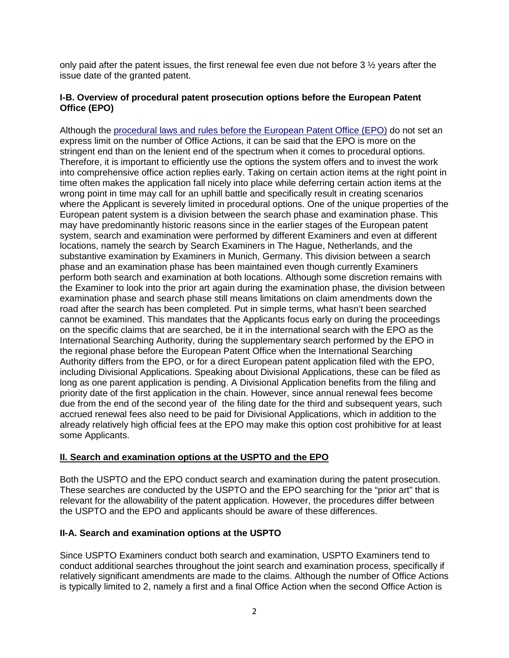only paid after the patent issues, the first renewal fee even due not before 3 ½ years after the issue date of the granted patent.

## **I-B. Overview of procedural patent prosecution options before the European Patent Office (EPO)**

Although the [procedural laws and rules before the European Patent Office \(EPO\)](http://www.epo.org/law-practice/legal-texts/html/epc/2016/e/index.html) do not set an express limit on the number of Office Actions, it can be said that the EPO is more on the stringent end than on the lenient end of the spectrum when it comes to procedural options. Therefore, it is important to efficiently use the options the system offers and to invest the work into comprehensive office action replies early. Taking on certain action items at the right point in time often makes the application fall nicely into place while deferring certain action items at the wrong point in time may call for an uphill battle and specifically result in creating scenarios where the Applicant is severely limited in procedural options. One of the unique properties of the European patent system is a division between the search phase and examination phase. This may have predominantly historic reasons since in the earlier stages of the European patent system, search and examination were performed by different Examiners and even at different locations, namely the search by Search Examiners in The Hague, Netherlands, and the substantive examination by Examiners in Munich, Germany. This division between a search phase and an examination phase has been maintained even though currently Examiners perform both search and examination at both locations. Although some discretion remains with the Examiner to look into the prior art again during the examination phase, the division between examination phase and search phase still means limitations on claim amendments down the road after the search has been completed. Put in simple terms, what hasn't been searched cannot be examined. This mandates that the Applicants focus early on during the proceedings on the specific claims that are searched, be it in the international search with the EPO as the International Searching Authority, during the supplementary search performed by the EPO in the regional phase before the European Patent Office when the International Searching Authority differs from the EPO, or for a direct European patent application filed with the EPO, including Divisional Applications. Speaking about Divisional Applications, these can be filed as long as one parent application is pending. A Divisional Application benefits from the filing and priority date of the first application in the chain. However, since annual renewal fees become due from the end of the second year of the filing date for the third and subsequent years, such accrued renewal fees also need to be paid for Divisional Applications, which in addition to the already relatively high official fees at the EPO may make this option cost prohibitive for at least some Applicants.

# **II. Search and examination options at the USPTO and the EPO**

Both the USPTO and the EPO conduct search and examination during the patent prosecution. These searches are conducted by the USPTO and the EPO searching for the "prior art" that is relevant for the allowability of the patent application. However, the procedures differ between the USPTO and the EPO and applicants should be aware of these differences.

# **II-A. Search and examination options at the USPTO**

Since USPTO Examiners conduct both search and examination, USPTO Examiners tend to conduct additional searches throughout the joint search and examination process, specifically if relatively significant amendments are made to the claims. Although the number of Office Actions is typically limited to 2, namely a first and a final Office Action when the second Office Action is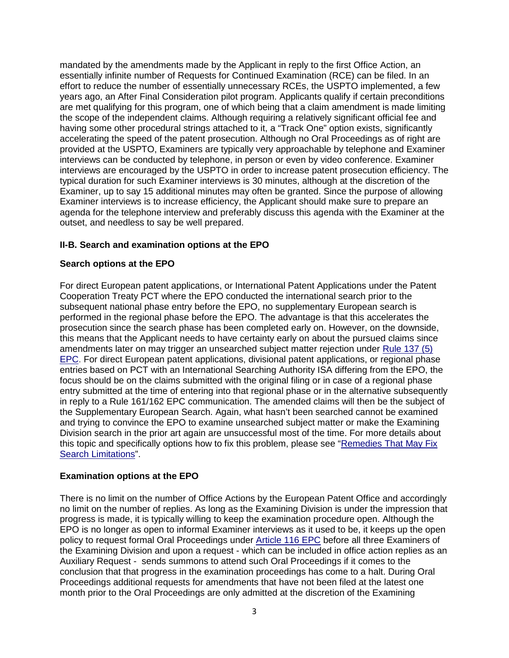mandated by the amendments made by the Applicant in reply to the first Office Action, an essentially infinite number of Requests for Continued Examination (RCE) can be filed. In an effort to reduce the number of essentially unnecessary RCEs, the USPTO implemented, a few years ago, an After Final Consideration pilot program. Applicants qualify if certain preconditions are met qualifying for this program, one of which being that a claim amendment is made limiting the scope of the independent claims. Although requiring a relatively significant official fee and having some other procedural strings attached to it, a "Track One" option exists, significantly accelerating the speed of the patent prosecution. Although no Oral Proceedings as of right are provided at the USPTO, Examiners are typically very approachable by telephone and Examiner interviews can be conducted by telephone, in person or even by video conference. Examiner interviews are encouraged by the USPTO in order to increase patent prosecution efficiency. The typical duration for such Examiner interviews is 30 minutes, although at the discretion of the Examiner, up to say 15 additional minutes may often be granted. Since the purpose of allowing Examiner interviews is to increase efficiency, the Applicant should make sure to prepare an agenda for the telephone interview and preferably discuss this agenda with the Examiner at the outset, and needless to say be well prepared.

## **II-B. Search and examination options at the EPO**

## **Search options at the EPO**

For direct European patent applications, or International Patent Applications under the Patent Cooperation Treaty PCT where the EPO conducted the international search prior to the subsequent national phase entry before the EPO, no supplementary European search is performed in the regional phase before the EPO. The advantage is that this accelerates the prosecution since the search phase has been completed early on. However, on the downside, this means that the Applicant needs to have certainty early on about the pursued claims since amendments later on may trigger an unsearched subject matter rejection under [Rule 137 \(5\)](http://www.epo.org/law-practice/legal-texts/html/epc/2016/e/r137.html)  [EPC.](http://www.epo.org/law-practice/legal-texts/html/epc/2016/e/r137.html) For direct European patent applications, divisional patent applications, or regional phase entries based on PCT with an International Searching Authority ISA differing from the EPO, the focus should be on the claims submitted with the original filing or in case of a regional phase entry submitted at the time of entering into that regional phase or in the alternative subsequently in reply to a Rule 161/162 EPC communication. The amended claims will then be the subject of the Supplementary European Search. Again, what hasn't been searched cannot be examined and trying to convince the EPO to examine unsearched subject matter or make the Examining Division search in the prior art again are unsuccessful most of the time. For more details about this topic and specifically options how to fix this problem, please see ["Remedies That May Fix](http://www.schleeip.com/patents-2/search-fees-unity-of-invention-part-2/)  [Search Limitations"](http://www.schleeip.com/patents-2/search-fees-unity-of-invention-part-2/).

## **Examination options at the EPO**

There is no limit on the number of Office Actions by the European Patent Office and accordingly no limit on the number of replies. As long as the Examining Division is under the impression that progress is made, it is typically willing to keep the examination procedure open. Although the EPO is no longer as open to informal Examiner interviews as it used to be, it keeps up the open policy to request formal Oral Proceedings under [Article 116 EPC](http://www.epo.org/law-practice/legal-texts/html/epc/2016/e/ar116.html) before all three Examiners of the Examining Division and upon a request - which can be included in office action replies as an Auxiliary Request - sends summons to attend such Oral Proceedings if it comes to the conclusion that that progress in the examination proceedings has come to a halt. During Oral Proceedings additional requests for amendments that have not been filed at the latest one month prior to the Oral Proceedings are only admitted at the discretion of the Examining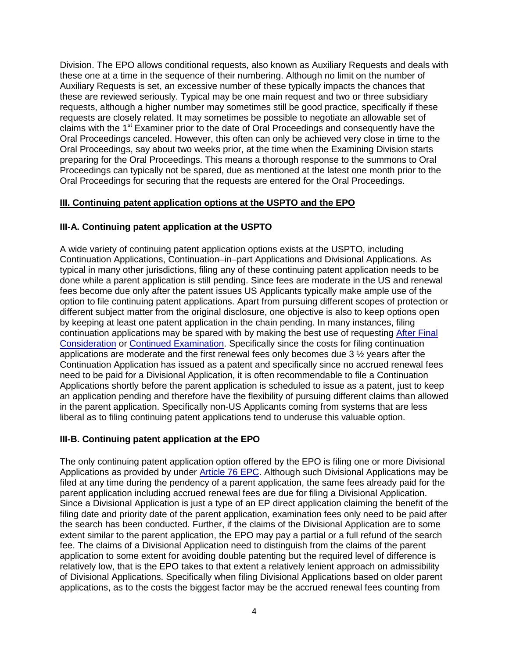Division. The EPO allows conditional requests, also known as Auxiliary Requests and deals with these one at a time in the sequence of their numbering. Although no limit on the number of Auxiliary Requests is set, an excessive number of these typically impacts the chances that these are reviewed seriously. Typical may be one main request and two or three subsidiary requests, although a higher number may sometimes still be good practice, specifically if these requests are closely related. It may sometimes be possible to negotiate an allowable set of claims with the 1<sup>st</sup> Examiner prior to the date of Oral Proceedings and consequently have the Oral Proceedings canceled. However, this often can only be achieved very close in time to the Oral Proceedings, say about two weeks prior, at the time when the Examining Division starts preparing for the Oral Proceedings. This means a thorough response to the summons to Oral Proceedings can typically not be spared, due as mentioned at the latest one month prior to the Oral Proceedings for securing that the requests are entered for the Oral Proceedings.

## **III. Continuing patent application options at the USPTO and the EPO**

## **III-A. Continuing patent application at the USPTO**

A wide variety of continuing patent application options exists at the USPTO, including Continuation Applications, Continuation–in–part Applications and Divisional Applications. As typical in many other jurisdictions, filing any of these continuing patent application needs to be done while a parent application is still pending. Since fees are moderate in the US and renewal fees become due only after the patent issues US Applicants typically make ample use of the option to file continuing patent applications. Apart from pursuing different scopes of protection or different subject matter from the original disclosure, one objective is also to keep options open by keeping at least one patent application in the chain pending. In many instances, filing continuation applications may be spared with by making the best use of requesting [After Final](https://www.uspto.gov/patent/initiatives/after-final-consideration-pilot-20)  [Consideration](https://www.uspto.gov/patent/initiatives/after-final-consideration-pilot-20) or [Continued Examination.](https://www.uspto.gov/patents/law/aipa/rcefaq.jsp) Specifically since the costs for filing continuation applications are moderate and the first renewal fees only becomes due 3 ½ years after the Continuation Application has issued as a patent and specifically since no accrued renewal fees need to be paid for a Divisional Application, it is often recommendable to file a Continuation Applications shortly before the parent application is scheduled to issue as a patent, just to keep an application pending and therefore have the flexibility of pursuing different claims than allowed in the parent application. Specifically non-US Applicants coming from systems that are less liberal as to filing continuing patent applications tend to underuse this valuable option.

## **III-B. Continuing patent application at the EPO**

The only continuing patent application option offered by the EPO is filing one or more Divisional Applications as provided by under [Article 76 EPC.](http://www.epo.org/law-practice/legal-texts/html/epc/2016/e/ar76.html) Although such Divisional Applications may be filed at any time during the pendency of a parent application, the same fees already paid for the parent application including accrued renewal fees are due for filing a Divisional Application. Since a Divisional Application is just a type of an EP direct application claiming the benefit of the filing date and priority date of the parent application, examination fees only need to be paid after the search has been conducted. Further, if the claims of the Divisional Application are to some extent similar to the parent application, the EPO may pay a partial or a full refund of the search fee. The claims of a Divisional Application need to distinguish from the claims of the parent application to some extent for avoiding double patenting but the required level of difference is relatively low, that is the EPO takes to that extent a relatively lenient approach on admissibility of Divisional Applications. Specifically when filing Divisional Applications based on older parent applications, as to the costs the biggest factor may be the accrued renewal fees counting from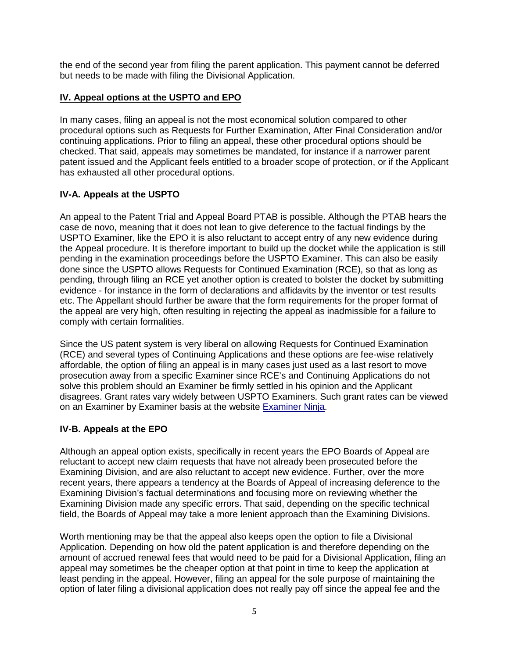the end of the second year from filing the parent application. This payment cannot be deferred but needs to be made with filing the Divisional Application.

## **IV. Appeal options at the USPTO and EPO**

In many cases, filing an appeal is not the most economical solution compared to other procedural options such as Requests for Further Examination, After Final Consideration and/or continuing applications. Prior to filing an appeal, these other procedural options should be checked. That said, appeals may sometimes be mandated, for instance if a narrower parent patent issued and the Applicant feels entitled to a broader scope of protection, or if the Applicant has exhausted all other procedural options.

## **IV-A. Appeals at the USPTO**

An appeal to the Patent Trial and Appeal Board PTAB is possible. Although the PTAB hears the case de novo, meaning that it does not lean to give deference to the factual findings by the USPTO Examiner, like the EPO it is also reluctant to accept entry of any new evidence during the Appeal procedure. It is therefore important to build up the docket while the application is still pending in the examination proceedings before the USPTO Examiner. This can also be easily done since the USPTO allows Requests for Continued Examination (RCE), so that as long as pending, through filing an RCE yet another option is created to bolster the docket by submitting evidence - for instance in the form of declarations and affidavits by the inventor or test results etc. The Appellant should further be aware that the form requirements for the proper format of the appeal are very high, often resulting in rejecting the appeal as inadmissible for a failure to comply with certain formalities.

Since the US patent system is very liberal on allowing Requests for Continued Examination (RCE) and several types of Continuing Applications and these options are fee-wise relatively affordable, the option of filing an appeal is in many cases just used as a last resort to move prosecution away from a specific Examiner since RCE's and Continuing Applications do not solve this problem should an Examiner be firmly settled in his opinion and the Applicant disagrees. Grant rates vary widely between USPTO Examiners. Such grant rates can be viewed on an Examiner by Examiner basis at the website [Examiner Ninja.](https://examiner.ninja/)

## **IV-B. Appeals at the EPO**

Although an appeal option exists, specifically in recent years the EPO Boards of Appeal are reluctant to accept new claim requests that have not already been prosecuted before the Examining Division, and are also reluctant to accept new evidence. Further, over the more recent years, there appears a tendency at the Boards of Appeal of increasing deference to the Examining Division's factual determinations and focusing more on reviewing whether the Examining Division made any specific errors. That said, depending on the specific technical field, the Boards of Appeal may take a more lenient approach than the Examining Divisions.

Worth mentioning may be that the appeal also keeps open the option to file a Divisional Application. Depending on how old the patent application is and therefore depending on the amount of accrued renewal fees that would need to be paid for a Divisional Application, filing an appeal may sometimes be the cheaper option at that point in time to keep the application at least pending in the appeal. However, filing an appeal for the sole purpose of maintaining the option of later filing a divisional application does not really pay off since the appeal fee and the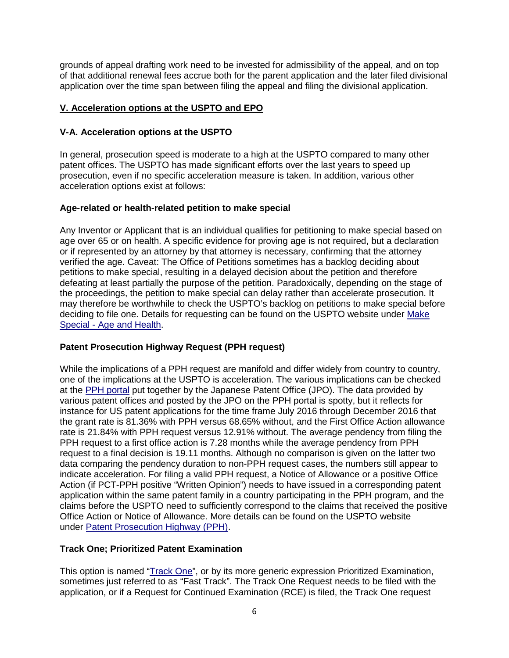grounds of appeal drafting work need to be invested for admissibility of the appeal, and on top of that additional renewal fees accrue both for the parent application and the later filed divisional application over the time span between filing the appeal and filing the divisional application.

## **V. Acceleration options at the USPTO and EPO**

## **V-A. Acceleration options at the USPTO**

In general, prosecution speed is moderate to a high at the USPTO compared to many other patent offices. The USPTO has made significant efforts over the last years to speed up prosecution, even if no specific acceleration measure is taken. In addition, various other acceleration options exist at follows:

## **Age-related or health-related petition to make special**

Any Inventor or Applicant that is an individual qualifies for petitioning to make special based on age over 65 or on health. A specific evidence for proving age is not required, but a declaration or if represented by an attorney by that attorney is necessary, confirming that the attorney verified the age. Caveat: The Office of Petitions sometimes has a backlog deciding about petitions to make special, resulting in a delayed decision about the petition and therefore defeating at least partially the purpose of the petition. Paradoxically, depending on the stage of the proceedings, the petition to make special can delay rather than accelerate prosecution. It may therefore be worthwhile to check the USPTO's backlog on petitions to make special before deciding to file one. Details for requesting can be found on the USPTO website under [Make](https://www.uspto.gov/patents-application-process/petitions/23-make-special-age-and-health) Special - [Age and Health.](https://www.uspto.gov/patents-application-process/petitions/23-make-special-age-and-health)

## **Patent Prosecution Highway Request (PPH request)**

While the implications of a PPH request are manifold and differ widely from country to country, one of the implications at the USPTO is acceleration. The various implications can be checked at the [PPH portal](https://www.jpo.go.jp/ppph-portal/statistics.htm) put together by the Japanese Patent Office (JPO). The data provided by various patent offices and posted by the JPO on the PPH portal is spotty, but it reflects for instance for US patent applications for the time frame July 2016 through December 2016 that the grant rate is 81.36% with PPH versus 68.65% without, and the First Office Action allowance rate is 21.84% with PPH request versus 12.91% without. The average pendency from filing the PPH request to a first office action is 7.28 months while the average pendency from PPH request to a final decision is 19.11 months. Although no comparison is given on the latter two data comparing the pendency duration to non-PPH request cases, the numbers still appear to indicate acceleration. For filing a valid PPH request, a Notice of Allowance or a positive Office Action (if PCT-PPH positive "Written Opinion") needs to have issued in a corresponding patent application within the same patent family in a country participating in the PPH program, and the claims before the USPTO need to sufficiently correspond to the claims that received the positive Office Action or Notice of Allowance. More details can be found on the USPTO website under [Patent Prosecution Highway \(PPH\).](https://www.uspto.gov/patents-application-process/petitions/26-patent-prosecution-highway-pph)

## **Track One; Prioritized Patent Examination**

This option is named ["Track One"](https://www.uspto.gov/patent/initiatives/usptos-prioritized-patent-examination-program), or by its more generic expression Prioritized Examination, sometimes just referred to as "Fast Track". The Track One Request needs to be filed with the application, or if a Request for Continued Examination (RCE) is filed, the Track One request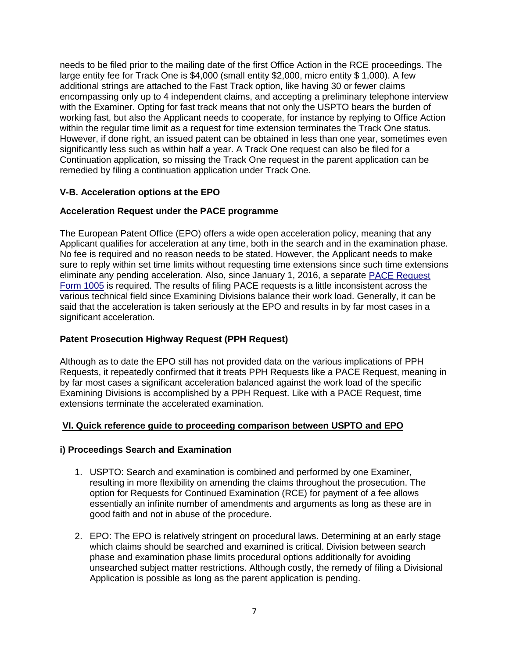needs to be filed prior to the mailing date of the first Office Action in the RCE proceedings. The large entity fee for Track One is \$4,000 (small entity \$2,000, micro entity \$ 1,000). A few additional strings are attached to the Fast Track option, like having 30 or fewer claims encompassing only up to 4 independent claims, and accepting a preliminary telephone interview with the Examiner. Opting for fast track means that not only the USPTO bears the burden of working fast, but also the Applicant needs to cooperate, for instance by replying to Office Action within the regular time limit as a request for time extension terminates the Track One status. However, if done right, an issued patent can be obtained in less than one year, sometimes even significantly less such as within half a year. A Track One request can also be filed for a Continuation application, so missing the Track One request in the parent application can be remedied by filing a continuation application under Track One.

## **V-B. Acceleration options at the EPO**

## **Acceleration Request under the PACE programme**

The European Patent Office (EPO) offers a wide open acceleration policy, meaning that any Applicant qualifies for acceleration at any time, both in the search and in the examination phase. No fee is required and no reason needs to be stated. However, the Applicant needs to make sure to reply within set time limits without requesting time extensions since such time extensions eliminate any pending acceleration. Also, since January 1, 2016, a separate [PACE Request](http://documents.epo.org/projects/babylon/eponet.nsf/0/232788473F01648FC125737E004ED2EC/$File/1005_form-editable_12_15.pdf)  [Form 1005](http://documents.epo.org/projects/babylon/eponet.nsf/0/232788473F01648FC125737E004ED2EC/$File/1005_form-editable_12_15.pdf) is required. The results of filing PACE requests is a little inconsistent across the various technical field since Examining Divisions balance their work load. Generally, it can be said that the acceleration is taken seriously at the EPO and results in by far most cases in a significant acceleration.

# **Patent Prosecution Highway Request (PPH Request)**

Although as to date the EPO still has not provided data on the various implications of PPH Requests, it repeatedly confirmed that it treats PPH Requests like a PACE Request, meaning in by far most cases a significant acceleration balanced against the work load of the specific Examining Divisions is accomplished by a PPH Request. Like with a PACE Request, time extensions terminate the accelerated examination.

## **VI. Quick reference guide to proceeding comparison between USPTO and EPO**

## **i) Proceedings Search and Examination**

- 1. USPTO: Search and examination is combined and performed by one Examiner, resulting in more flexibility on amending the claims throughout the prosecution. The option for Requests for Continued Examination (RCE) for payment of a fee allows essentially an infinite number of amendments and arguments as long as these are in good faith and not in abuse of the procedure.
- 2. EPO: The EPO is relatively stringent on procedural laws. Determining at an early stage which claims should be searched and examined is critical. Division between search phase and examination phase limits procedural options additionally for avoiding unsearched subject matter restrictions. Although costly, the remedy of filing a Divisional Application is possible as long as the parent application is pending.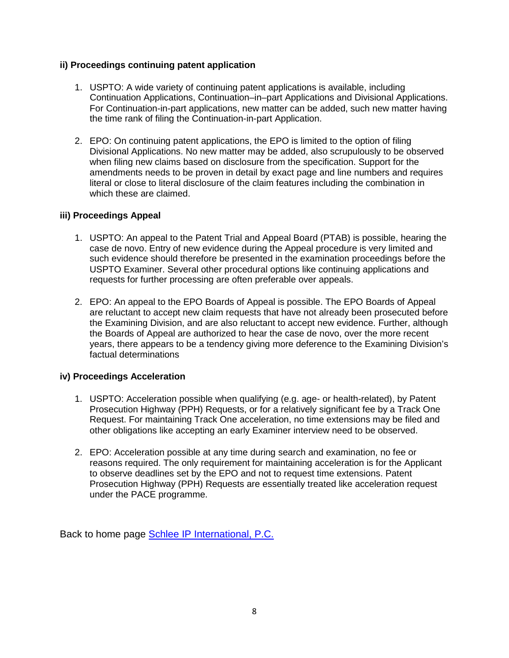## **ii) Proceedings continuing patent application**

- 1. USPTO: A wide variety of continuing patent applications is available, including Continuation Applications, Continuation–in–part Applications and Divisional Applications. For Continuation-in-part applications, new matter can be added, such new matter having the time rank of filing the Continuation-in-part Application.
- 2. EPO: On continuing patent applications, the EPO is limited to the option of filing Divisional Applications. No new matter may be added, also scrupulously to be observed when filing new claims based on disclosure from the specification. Support for the amendments needs to be proven in detail by exact page and line numbers and requires literal or close to literal disclosure of the claim features including the combination in which these are claimed.

## **iii) Proceedings Appeal**

- 1. USPTO: An appeal to the Patent Trial and Appeal Board (PTAB) is possible, hearing the case de novo. Entry of new evidence during the Appeal procedure is very limited and such evidence should therefore be presented in the examination proceedings before the USPTO Examiner. Several other procedural options like continuing applications and requests for further processing are often preferable over appeals.
- 2. EPO: An appeal to the EPO Boards of Appeal is possible. The EPO Boards of Appeal are reluctant to accept new claim requests that have not already been prosecuted before the Examining Division, and are also reluctant to accept new evidence. Further, although the Boards of Appeal are authorized to hear the case de novo, over the more recent years, there appears to be a tendency giving more deference to the Examining Division's factual determinations

## **iv) Proceedings Acceleration**

- 1. USPTO: Acceleration possible when qualifying (e.g. age- or health-related), by Patent Prosecution Highway (PPH) Requests, or for a relatively significant fee by a Track One Request. For maintaining Track One acceleration, no time extensions may be filed and other obligations like accepting an early Examiner interview need to be observed.
- 2. EPO: Acceleration possible at any time during search and examination, no fee or reasons required. The only requirement for maintaining acceleration is for the Applicant to observe deadlines set by the EPO and not to request time extensions. Patent Prosecution Highway (PPH) Requests are essentially treated like acceleration request under the PACE programme.

Back to home page [Schlee IP International, P.C.](http://www.schleeip.de/)